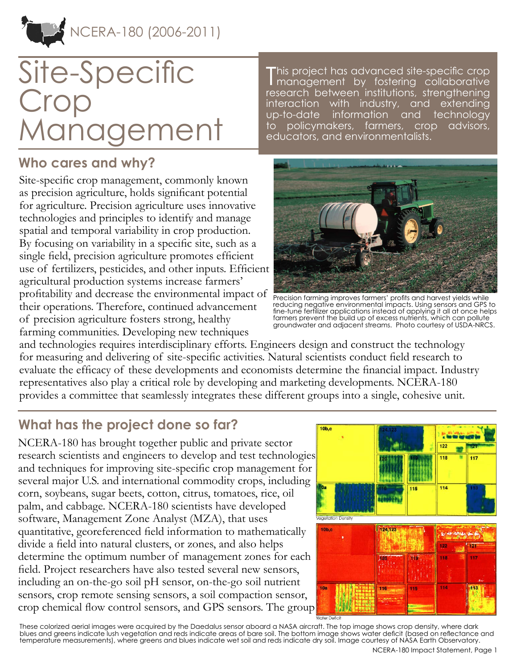

# Site-Specific Crop Management

### **Who cares and why?**

Site-specific crop management, commonly known as precision agriculture, holds significant potential for agriculture. Precision agriculture uses innovative technologies and principles to identify and manage spatial and temporal variability in crop production. By focusing on variability in a specific site, such as a single field, precision agriculture promotes efficient use of fertilizers, pesticides, and other inputs. Efficient agricultural production systems increase farmers' profitability and decrease the environmental impact of their operations. Therefore, continued advancement of precision agriculture fosters strong, healthy farming communities. Developing new techniques

T his project has advanced site-specific crop management by fostering collaborative research between institutions, strengthening interaction with industry, and extending up-to-date information and technology to policymakers, farmers, crop advisors, educators, and environmentalists.



Precision farming improves farmers' profits and harvest yields while reducing negative environmental impacts. Using sensors and GPS to fine-tune fertilizer applications instead of applying it all at once helps farmers prevent the build up of excess nutrients, which can pollute groundwater and adjacent streams. Photo courtesy of USDA-NRCS.

and technologies requires interdisciplinary efforts. Engineers design and construct the technology for measuring and delivering of site-specific activities. Natural scientists conduct field research to evaluate the efficacy of these developments and economists determine the financial impact. Industry representatives also play a critical role by developing and marketing developments. NCERA-180 provides a committee that seamlessly integrates these different groups into a single, cohesive unit.

## **What has the project done so far?**

NCERA-180 has brought together public and private sector research scientists and engineers to develop and test technologies and techniques for improving site-specific crop management for several major U.S. and international commodity crops, including corn, soybeans, sugar beets, cotton, citrus, tomatoes, rice, oil palm, and cabbage. NCERA-180 scientists have developed software, Management Zone Analyst (MZA), that uses quantitative, georeferenced field information to mathematically divide a field into natural clusters, or zones, and also helps determine the optimum number of management zones for each field. Project researchers have also tested several new sensors, including an on-the-go soil pH sensor, on-the-go soil nutrient sensors, crop remote sensing sensors, a soil compaction sensor, crop chemical flow control sensors, and GPS sensors. The group



These colorized aerial images were acquired by the Daedalus sensor aboard a NASA aircraft. The top image shows crop density, where dark blues and greens indicate lush vegetation and reds indicate areas of bare soil. The bottom image shows water deficit (based on reflectance and temperature measurements), where greens and blues indicate wet soil and reds indicate dry soil. Image courtesy of NASA Earth Observatory.